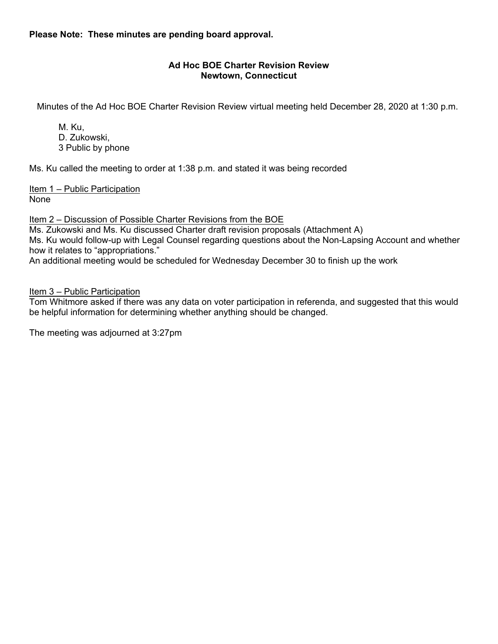**Please Note: These minutes are pending board approval.**

# **Ad Hoc BOE Charter Revision Review Newtown, Connecticut**

Minutes of the Ad Hoc BOE Charter Revision Review virtual meeting held December 28, 2020 at 1:30 p.m.

M. Ku, D. Zukowski, 3 Public by phone

Ms. Ku called the meeting to order at 1:38 p.m. and stated it was being recorded

Item 1 – Public Participation None

Item 2 – Discussion of Possible Charter Revisions from the BOE

Ms. Zukowski and Ms. Ku discussed Charter draft revision proposals (Attachment A) Ms. Ku would follow-up with Legal Counsel regarding questions about the Non-Lapsing Account and whether how it relates to "appropriations."

An additional meeting would be scheduled for Wednesday December 30 to finish up the work

Item 3 – Public Participation

Tom Whitmore asked if there was any data on voter participation in referenda, and suggested that this would be helpful information for determining whether anything should be changed.

The meeting was adjourned at 3:27pm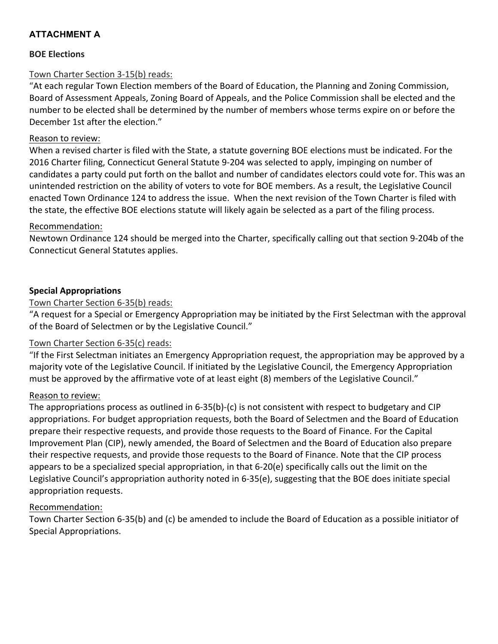# **ATTACHMENT A**

# **BOE Elections**

# Town Charter Section 3-15(b) reads:

"At each regular Town Election members of the Board of Education, the Planning and Zoning Commission, Board of Assessment Appeals, Zoning Board of Appeals, and the Police Commission shall be elected and the number to be elected shall be determined by the number of members whose terms expire on or before the December 1st after the election."

# Reason to review:

When a revised charter is filed with the State, a statute governing BOE elections must be indicated. For the 2016 Charter filing, Connecticut General Statute 9-204 was selected to apply, impinging on number of candidates a party could put forth on the ballot and number of candidates electors could vote for. This was an unintended restriction on the ability of voters to vote for BOE members. As a result, the Legislative Council enacted Town Ordinance 124 to address the issue. When the next revision of the Town Charter is filed with the state, the effective BOE elections statute will likely again be selected as a part of the filing process.

# Recommendation:

Newtown Ordinance 124 should be merged into the Charter, specifically calling out that section 9-204b of the Connecticut General Statutes applies.

# **Special Appropriations**

# Town Charter Section 6-35(b) reads:

"A request for a Special or Emergency Appropriation may be initiated by the First Selectman with the approval of the Board of Selectmen or by the Legislative Council."

# Town Charter Section 6-35(c) reads:

"If the First Selectman initiates an Emergency Appropriation request, the appropriation may be approved by a majority vote of the Legislative Council. If initiated by the Legislative Council, the Emergency Appropriation must be approved by the affirmative vote of at least eight (8) members of the Legislative Council."

# Reason to review:

The appropriations process as outlined in 6-35(b)-(c) is not consistent with respect to budgetary and CIP appropriations. For budget appropriation requests, both the Board of Selectmen and the Board of Education prepare their respective requests, and provide those requests to the Board of Finance. For the Capital Improvement Plan (CIP), newly amended, the Board of Selectmen and the Board of Education also prepare their respective requests, and provide those requests to the Board of Finance. Note that the CIP process appears to be a specialized special appropriation, in that 6-20(e) specifically calls out the limit on the Legislative Council's appropriation authority noted in 6-35(e), suggesting that the BOE does initiate special appropriation requests.

# Recommendation:

Town Charter Section 6-35(b) and (c) be amended to include the Board of Education as a possible initiator of Special Appropriations.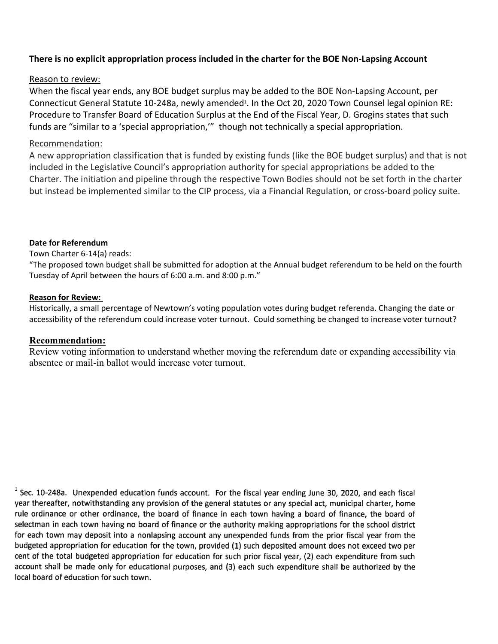# **There is no explicit appropriation process included in the charter for the BOE Non-Lapsing Account**

# Reason to review:

When the fiscal year ends, any BOE budget surplus may be added to the BOE Non-Lapsing Account, per Connecticut General Statute 10-248a, newly amended<sup>1</sup>. In the Oct 20, 2020 Town Counsel legal opinion RE: Procedure to Transfer Board of Education Surplus at the End of the Fiscal Year, D. Grogins states that such funds are "similar to a 'special appropriation,'" though not technically a special appropriation.

### Recommendation:

A new appropriation classification that is funded by existing funds (like the BOE budget surplus) and that is not included in the Legislative Council's appropriation authority for special appropriations be added to the Charter. The initiation and pipeline through the respective Town Bodies should not be set forth in the charter but instead be implemented similar to the CIP process, via a Financial Regulation, or cross-board policy suite.

### **Date for Referendum**

#### Town Charter 6-14(a) reads:

"The proposed town budget shall be submitted for adoption at the Annual budget referendum to be held on the fourth Tuesday of April between the hours of 6:00 a.m. and 8:00 p.m."

#### **Reason for Review:**

Historically, a small percentage of Newtown's voting population votes during budget referenda. Changing the date or accessibility of the referendum could increase voter turnout. Could something be changed to increase voter turnout?

### **Recommendation:**

Review voting information to understand whether moving the referendum date or expanding accessibility via absentee or mail-in ballot would increase voter turnout.

 $1$  Sec. 10-248a. Unexpended education funds account. For the fiscal year ending June 30, 2020, and each fiscal year thereafter, notwithstanding any provision of the general statutes or any special act, municipal charter, home rule ordinance or other ordinance, the board of finance in each town having a board of finance, the board of selectman in each town having no board of finance or the authority making appropriations for the school district for each town may deposit into a nonlapsing account any unexpended funds from the prior fiscal year from the budgeted appropriation for education for the town, provided (1) such deposited amount does not exceed two per cent of the total budgeted appropriation for education for such prior fiscal year, (2) each expenditure from such account shall be made only for educational purposes, and (3) each such expenditure shall be authorized by the local board of education for such town.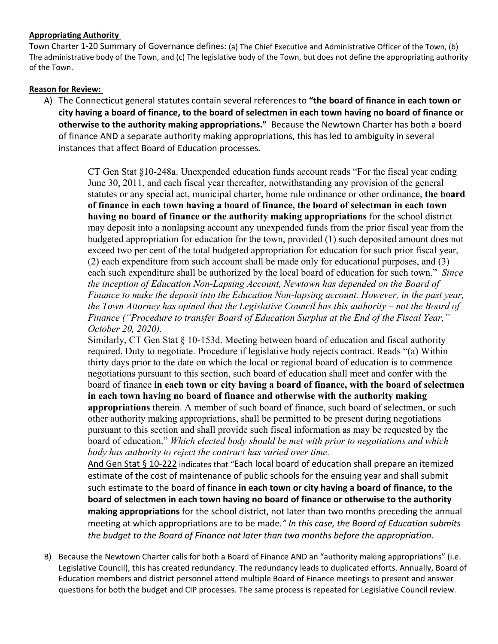### **Appropriating Authority**

Town Charter 1-20 Summary of Governance defines: (a) The Chief Executive and Administrative Officer of the Town, (b) The administrative body of the Town, and (c) The legislative body of the Town, but does not define the appropriating authority of the Town.

# **Reason for Review:**

A) The Connecticut general statutes contain several references to **"the board of finance in each town or city having a board of finance, to the board of selectmen in each town having no board of finance or otherwise to the authority making appropriations."** Because the Newtown Charter has both a board of finance AND a separate authority making appropriations, this has led to ambiguity in several instances that affect Board of Education processes.

> CT Gen Stat §10-248a. Unexpended education funds account reads "For the fiscal year ending June 30, 2011, and each fiscal year thereafter, notwithstanding any provision of the general statutes or any special act, municipal charter, home rule ordinance or other ordinance, **the board of finance in each town having a board of finance, the board of selectman in each town having no board of finance or the authority making appropriations** for the school district may deposit into a nonlapsing account any unexpended funds from the prior fiscal year from the budgeted appropriation for education for the town, provided (1) such deposited amount does not exceed two per cent of the total budgeted appropriation for education for such prior fiscal year, (2) each expenditure from such account shall be made only for educational purposes, and (3) each such expenditure shall be authorized by the local board of education for such town." *Since the inception of Education Non-Lapsing Account, Newtown has depended on the Board of Finance to make the deposit into the Education Non-lapsing account. However, in the past year, the Town Attorney has opined that the Legislative Council has this authority – not the Board of Finance ("Procedure to transfer Board of Education Surplus at the End of the Fiscal Year," October 20, 2020).*

> Similarly, CT Gen Stat § 10-153d. Meeting between board of education and fiscal authority required. Duty to negotiate. Procedure if legislative body rejects contract. Reads "(a) Within thirty days prior to the date on which the local or regional board of education is to commence negotiations pursuant to this section, such board of education shall meet and confer with the board of finance **in each town or city having a board of finance, with the board of selectmen in each town having no board of finance and otherwise with the authority making appropriations** therein. A member of such board of finance, such board of selectmen, or such other authority making appropriations, shall be permitted to be present during negotiations pursuant to this section and shall provide such fiscal information as may be requested by the board of education." *Which elected body should be met with prior to negotiations and which body has authority to reject the contract has varied over time.*

> [And Gen Stat § 10-222](https://law.justia.com/citations.html) indicates that "Each local board of education shall prepare an itemized estimate of the cost of maintenance of public schools for the ensuing year and shall submit such estimate to the board of finance **in each town or city having a board of finance, to the board of selectmen in each town having no board of finance or otherwise to the authority making appropriations** for the school district, not later than two months preceding the annual meeting at which appropriations are to be made*." In this case, the Board of Education submits the budget to the Board of Finance not later than two months before the appropriation.*

B) Because the Newtown Charter calls for both a Board of Finance AND an "authority making appropriations" (i.e. Legislative Council), this has created redundancy. The redundancy leads to duplicated efforts. Annually, Board of Education members and district personnel attend multiple Board of Finance meetings to present and answer questions for both the budget and CIP processes. The same process is repeated for Legislative Council review.